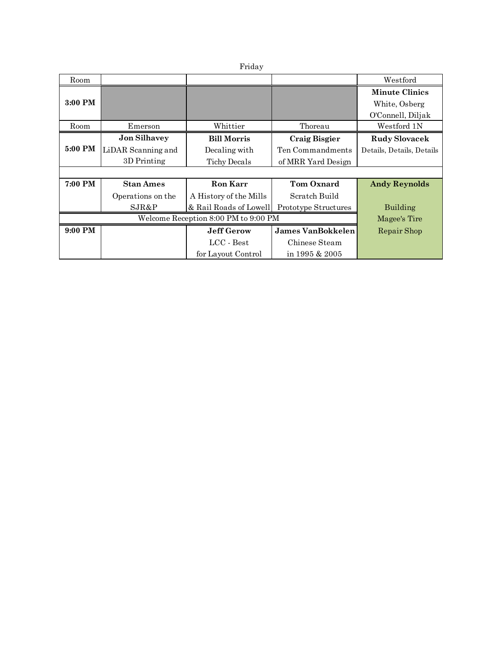Friday

| Room    |                    |                        |                      | ${\rm Westford}$          |
|---------|--------------------|------------------------|----------------------|---------------------------|
|         |                    |                        |                      | <b>Minute Clinics</b>     |
| 3:00 PM |                    |                        |                      | White, Osberg             |
|         |                    |                        |                      | O'Connell, Diljak         |
| Room    | Emerson            | Whittier               | Thoreau              | Westford 1N               |
|         | Jon Silhavey       | <b>Bill Morris</b>     | <b>Craig Bisgier</b> | <b>Rudy Slovacek</b>      |
| 5:00 PM | LiDAR Scanning and | Decaling with          | Ten Commandments     | Details, Details, Details |
|         | 3D Printing        | <b>Tichy Decals</b>    | of MRR Yard Design   |                           |
|         |                    |                        |                      |                           |
| 7:00 PM | <b>Stan Ames</b>   | Ron Karr               | <b>Tom Oxnard</b>    | <b>Andy Reynolds</b>      |
|         | Operations on the  | A History of the Mills | Scratch Build        |                           |
|         | SJR&P              | & Rail Roads of Lowell | Prototype Structures | Building                  |
|         | Magee's Tire       |                        |                      |                           |
| 9:00 PM |                    | <b>Jeff Gerow</b>      | James VanBokkelen    | Repair Shop               |
|         |                    | $LCC - Best$           | Chinese Steam        |                           |
|         |                    | for Layout Control     | in 1995 $& 2005$     |                           |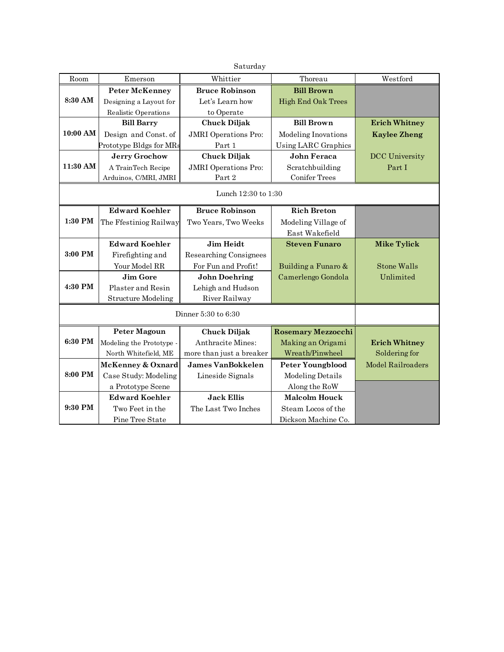| Saturday            |                              |                             |                           |                          |  |  |
|---------------------|------------------------------|-----------------------------|---------------------------|--------------------------|--|--|
| Room                | Emerson                      | Whittier                    | Thoreau                   | Westford                 |  |  |
|                     | <b>Peter McKenney</b>        | <b>Bruce Robinson</b>       | <b>Bill Brown</b>         |                          |  |  |
| 8:30 AM             | Designing a Layout for       | Let's Learn how             | <b>High End Oak Trees</b> |                          |  |  |
|                     | Realistic Operations         | to Operate                  |                           |                          |  |  |
|                     | <b>Bill Barry</b>            | <b>Chuck Diljak</b>         | <b>Bill Brown</b>         | <b>Erich Whitney</b>     |  |  |
| 10:00 AM            | Design and Const. of         | <b>JMRI</b> Operations Pro: | Modeling Inovations       | <b>Kaylee Zheng</b>      |  |  |
|                     | Prototype Bldgs for MRs      | Part 1                      | Using LARC Graphics       |                          |  |  |
|                     | <b>Jerry Grochow</b>         | <b>Chuck Diljak</b>         | John Feraca               | <b>DCC</b> University    |  |  |
| 11:30 AM            | A TrainTech Recipe           | <b>JMRI</b> Operations Pro: | Scratchbuilding           | Part I                   |  |  |
|                     | Arduinos, C/MRI, JMRI        | Part 2                      | <b>Conifer Trees</b>      |                          |  |  |
| Lunch 12:30 to 1:30 |                              |                             |                           |                          |  |  |
|                     | <b>Edward Koehler</b>        | <b>Bruce Robinson</b>       | <b>Rich Breton</b>        |                          |  |  |
| 1:30 PM             | The Ffestiniog Railway       | Two Years, Two Weeks        | Modeling Village of       |                          |  |  |
|                     |                              |                             | East Wakefield            |                          |  |  |
|                     | <b>Edward Koehler</b>        | Jim Heidt                   | <b>Steven Funaro</b>      | <b>Mike Tylick</b>       |  |  |
| 3:00 PM             | Firefighting and             | Researching Consignees      |                           |                          |  |  |
|                     | Your Model RR                | For Fun and Profit!         | Building a Funaro &       | Stone Walls              |  |  |
|                     | Jim Gore                     | <b>John Doehring</b>        | Camerlengo Gondola        | Unlimited                |  |  |
| 4:30 PM             | Plaster and Resin            | Lehigh and Hudson           |                           |                          |  |  |
|                     | <b>Structure Modeling</b>    | River Railway               |                           |                          |  |  |
|                     |                              |                             |                           |                          |  |  |
|                     | <b>Peter Magoun</b>          | <b>Chuck Diljak</b>         | <b>Rosemary Mezzocchi</b> |                          |  |  |
| 6:30 PM             | Modeling the Prototype -     | Anthracite Mines:           | Making an Origami         | <b>Erich Whitney</b>     |  |  |
|                     | North Whitefield, ME         | more than just a breaker    | Wreath/Pinwheel           | Soldering for            |  |  |
|                     | <b>McKenney &amp; Oxnard</b> | <b>James VanBokkelen</b>    | <b>Peter Youngblood</b>   | <b>Model Railroaders</b> |  |  |
| 8:00 PM             | Case Study: Modeling         | Lineside Signals            | Modeling Details          |                          |  |  |
|                     | a Prototype Scene            |                             | Along the RoW             |                          |  |  |
|                     | <b>Edward Koehler</b>        | <b>Jack Ellis</b>           | <b>Malcolm Houck</b>      |                          |  |  |
| 9:30 PM             | Two Feet in the              | The Last Two Inches         | Steam Locos of the        |                          |  |  |
|                     | Pine Tree State              |                             | Dickson Machine Co.       |                          |  |  |